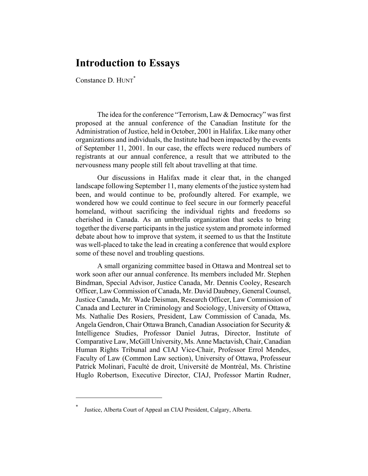## **Introduction to Essays**

Constance D. HUNT<sup>\*</sup>

The idea for the conference "Terrorism, Law & Democracy" was first proposed at the annual conference of the Canadian Institute for the Administration of Justice, held in October, 2001 in Halifax. Like many other organizations and individuals, the Institute had been impacted by the events of September 11, 2001. In our case, the effects were reduced numbers of registrants at our annual conference, a result that we attributed to the nervousness many people still felt about travelling at that time.

Our discussions in Halifax made it clear that, in the changed landscape following September 11, many elements of the justice system had been, and would continue to be, profoundly altered. For example, we wondered how we could continue to feel secure in our formerly peaceful homeland, without sacrificing the individual rights and freedoms so cherished in Canada. As an umbrella organization that seeks to bring together the diverse participants in the justice system and promote informed debate about how to improve that system, it seemed to us that the Institute was well-placed to take the lead in creating a conference that would explore some of these novel and troubling questions.

A small organizing committee based in Ottawa and Montreal set to work soon after our annual conference. Its members included Mr. Stephen Bindman, Special Advisor, Justice Canada, Mr. Dennis Cooley, Research Officer, Law Commission of Canada, Mr. David Daubney, General Counsel, Justice Canada, Mr. Wade Deisman, Research Officer, Law Commission of Canada and Lecturer in Criminology and Sociology, University of Ottawa, Ms. Nathalie Des Rosiers, President, Law Commission of Canada, Ms. Angela Gendron, Chair Ottawa Branch, Canadian Association for Security & Intelligence Studies, Professor Daniel Jutras, Director, Institute of Comparative Law, McGill University, Ms. Anne Mactavish, Chair, Canadian Human Rights Tribunal and CIAJ Vice-Chair, Professor Errol Mendes, Faculty of Law (Common Law section), University of Ottawa, Professeur Patrick Molinari, Faculté de droit, Université de Montréal, Ms. Christine Huglo Robertson, Executive Director, CIAJ, Professor Martin Rudner,

 $\overline{a}$ 

<sup>\*</sup> Justice, Alberta Court of Appeal an CIAJ President, Calgary, Alberta.